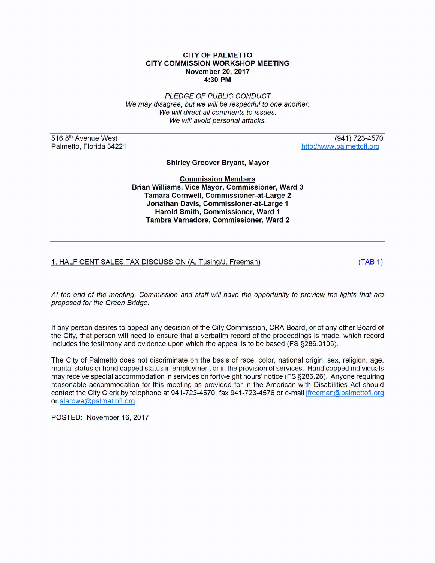## **CITY OF PALMETTO CITY COMMISSION WORKSHOP MEETING November 20, 2017 4:30PM**

PLEDGE OF PUBLIC CONDUCT We may disagree, but we will be respectful to one another. We will direct all comments to issues. We will avoid personal attacks.

516 8<sup>th</sup> Avenue West Palmetto, Florida 34221

(941) 723-4570 http://www.palmettofl.org

**Shirley Groover Bryant, Mayor** 

**Commission Members Brian Williams, Vice Mayor, Commissioner, Ward 3 Tamara Cornwell, Commissioner-at-Large 2 Jonathan Davis, Commissioner-at-Large 1 Harold Smith, Commissioner, Ward 1 Tambra Varnadore, Commissioner, Ward 2** 

## 1. HALF CENT SALES TAX DISCUSSION (A. Tusing/J. Freeman) (TAB 1)

At the end of the meeting, Commission and staff will have the opportunity to preview the lights that are proposed for the Green Bridge.

If any person desires to appeal any decision of the City Commission, CRA Board, or of any other Board of the City, that person will need to ensure that a verbatim record of the proceedings is made, which record includes the testimony and evidence upon which the appeal is to be based (FS §286.0105).

The City of Palmetto does not discriminate on the basis of race, color, national origin, sex, religion, age, marital status or handicapped status in employment or in the provision of services. Handicapped individuals may receive special accommodation in services on forty-eight hours' notice (FS §286.26). Anyone requiring reasonable accommodation for this meeting as provided for in the American with Disabilities Act should contact the City Clerk by telephone at 941-723-4570, fax 941-723-4576 or e-mail jfreeman@palmettofl.org or alarowe@palmettofl.org.

POSTED: November 16, 2017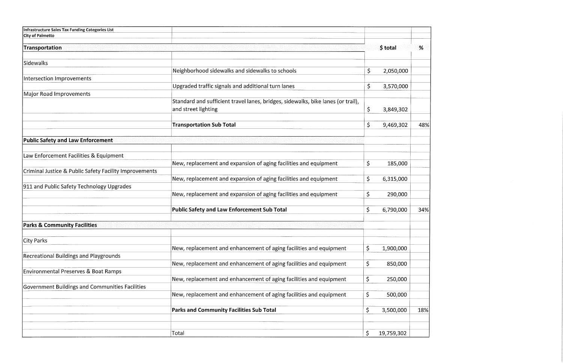| \$ total<br>Transportation<br>%<br>Sidewalks<br>Neighborhood sidewalks and sidewalks to schools<br>\$<br>2,050,000<br>Intersection Improvements<br>Upgraded traffic signals and additional turn lanes<br>\$<br>3,570,000<br>Major Road Improvements<br>Standard and sufficient travel lanes, bridges, sidewalks, bike lanes (or trail),<br>$\zeta$<br>and street lighting<br>3,849,302<br>$\varsigma$<br><b>Transportation Sub Total</b><br>48%<br>9,469,302<br><b>Public Safety and Law Enforcement</b><br>Law Enforcement Facilities & Equipment<br>$\varsigma$<br>New, replacement and expansion of aging facilities and equipment<br>185,000<br>Criminal Justice & Public Safety Facility Improvements<br>\$<br>New, replacement and expansion of aging facilities and equipment<br>6,315,000<br>911 and Public Safety Technology Upgrades<br>\$<br>New, replacement and expansion of aging facilities and equipment<br>290,000<br>\$<br><b>Public Safety and Law Enforcement Sub Total</b><br>6,790,000<br>34%<br><b>Parks &amp; Community Facilities</b><br>City Parks<br>\$<br>New, replacement and enhancement of aging facilities and equipment<br>1,900,000<br><b>Recreational Buildings and Playgrounds</b><br>\$<br>New, replacement and enhancement of aging facilities and equipment<br>850,000<br><b>Environmental Preserves &amp; Boat Ramps</b><br>\$<br>New, replacement and enhancement of aging facilities and equipment<br>250,000<br>Government Buildings and Communities Facilities<br>\$<br>New, replacement and enhancement of aging facilities and equipment<br>500,000<br>\$<br><b>Parks and Community Facilities Sub Total</b><br>3,500,000<br>18%<br>\$<br>Total<br>19,759,302 | Infrastructure Sales Tax Funding Categories List |  |  |
|-------------------------------------------------------------------------------------------------------------------------------------------------------------------------------------------------------------------------------------------------------------------------------------------------------------------------------------------------------------------------------------------------------------------------------------------------------------------------------------------------------------------------------------------------------------------------------------------------------------------------------------------------------------------------------------------------------------------------------------------------------------------------------------------------------------------------------------------------------------------------------------------------------------------------------------------------------------------------------------------------------------------------------------------------------------------------------------------------------------------------------------------------------------------------------------------------------------------------------------------------------------------------------------------------------------------------------------------------------------------------------------------------------------------------------------------------------------------------------------------------------------------------------------------------------------------------------------------------------------------------------------------------------------------------------------------------------------|--------------------------------------------------|--|--|
|                                                                                                                                                                                                                                                                                                                                                                                                                                                                                                                                                                                                                                                                                                                                                                                                                                                                                                                                                                                                                                                                                                                                                                                                                                                                                                                                                                                                                                                                                                                                                                                                                                                                                                             | <b>City of Palmetto</b>                          |  |  |
|                                                                                                                                                                                                                                                                                                                                                                                                                                                                                                                                                                                                                                                                                                                                                                                                                                                                                                                                                                                                                                                                                                                                                                                                                                                                                                                                                                                                                                                                                                                                                                                                                                                                                                             |                                                  |  |  |
|                                                                                                                                                                                                                                                                                                                                                                                                                                                                                                                                                                                                                                                                                                                                                                                                                                                                                                                                                                                                                                                                                                                                                                                                                                                                                                                                                                                                                                                                                                                                                                                                                                                                                                             |                                                  |  |  |
|                                                                                                                                                                                                                                                                                                                                                                                                                                                                                                                                                                                                                                                                                                                                                                                                                                                                                                                                                                                                                                                                                                                                                                                                                                                                                                                                                                                                                                                                                                                                                                                                                                                                                                             |                                                  |  |  |
|                                                                                                                                                                                                                                                                                                                                                                                                                                                                                                                                                                                                                                                                                                                                                                                                                                                                                                                                                                                                                                                                                                                                                                                                                                                                                                                                                                                                                                                                                                                                                                                                                                                                                                             |                                                  |  |  |
|                                                                                                                                                                                                                                                                                                                                                                                                                                                                                                                                                                                                                                                                                                                                                                                                                                                                                                                                                                                                                                                                                                                                                                                                                                                                                                                                                                                                                                                                                                                                                                                                                                                                                                             |                                                  |  |  |
|                                                                                                                                                                                                                                                                                                                                                                                                                                                                                                                                                                                                                                                                                                                                                                                                                                                                                                                                                                                                                                                                                                                                                                                                                                                                                                                                                                                                                                                                                                                                                                                                                                                                                                             |                                                  |  |  |
|                                                                                                                                                                                                                                                                                                                                                                                                                                                                                                                                                                                                                                                                                                                                                                                                                                                                                                                                                                                                                                                                                                                                                                                                                                                                                                                                                                                                                                                                                                                                                                                                                                                                                                             |                                                  |  |  |
|                                                                                                                                                                                                                                                                                                                                                                                                                                                                                                                                                                                                                                                                                                                                                                                                                                                                                                                                                                                                                                                                                                                                                                                                                                                                                                                                                                                                                                                                                                                                                                                                                                                                                                             |                                                  |  |  |
|                                                                                                                                                                                                                                                                                                                                                                                                                                                                                                                                                                                                                                                                                                                                                                                                                                                                                                                                                                                                                                                                                                                                                                                                                                                                                                                                                                                                                                                                                                                                                                                                                                                                                                             |                                                  |  |  |
|                                                                                                                                                                                                                                                                                                                                                                                                                                                                                                                                                                                                                                                                                                                                                                                                                                                                                                                                                                                                                                                                                                                                                                                                                                                                                                                                                                                                                                                                                                                                                                                                                                                                                                             |                                                  |  |  |
|                                                                                                                                                                                                                                                                                                                                                                                                                                                                                                                                                                                                                                                                                                                                                                                                                                                                                                                                                                                                                                                                                                                                                                                                                                                                                                                                                                                                                                                                                                                                                                                                                                                                                                             |                                                  |  |  |
|                                                                                                                                                                                                                                                                                                                                                                                                                                                                                                                                                                                                                                                                                                                                                                                                                                                                                                                                                                                                                                                                                                                                                                                                                                                                                                                                                                                                                                                                                                                                                                                                                                                                                                             |                                                  |  |  |
|                                                                                                                                                                                                                                                                                                                                                                                                                                                                                                                                                                                                                                                                                                                                                                                                                                                                                                                                                                                                                                                                                                                                                                                                                                                                                                                                                                                                                                                                                                                                                                                                                                                                                                             |                                                  |  |  |
|                                                                                                                                                                                                                                                                                                                                                                                                                                                                                                                                                                                                                                                                                                                                                                                                                                                                                                                                                                                                                                                                                                                                                                                                                                                                                                                                                                                                                                                                                                                                                                                                                                                                                                             |                                                  |  |  |
|                                                                                                                                                                                                                                                                                                                                                                                                                                                                                                                                                                                                                                                                                                                                                                                                                                                                                                                                                                                                                                                                                                                                                                                                                                                                                                                                                                                                                                                                                                                                                                                                                                                                                                             |                                                  |  |  |
|                                                                                                                                                                                                                                                                                                                                                                                                                                                                                                                                                                                                                                                                                                                                                                                                                                                                                                                                                                                                                                                                                                                                                                                                                                                                                                                                                                                                                                                                                                                                                                                                                                                                                                             |                                                  |  |  |
|                                                                                                                                                                                                                                                                                                                                                                                                                                                                                                                                                                                                                                                                                                                                                                                                                                                                                                                                                                                                                                                                                                                                                                                                                                                                                                                                                                                                                                                                                                                                                                                                                                                                                                             |                                                  |  |  |
|                                                                                                                                                                                                                                                                                                                                                                                                                                                                                                                                                                                                                                                                                                                                                                                                                                                                                                                                                                                                                                                                                                                                                                                                                                                                                                                                                                                                                                                                                                                                                                                                                                                                                                             |                                                  |  |  |
|                                                                                                                                                                                                                                                                                                                                                                                                                                                                                                                                                                                                                                                                                                                                                                                                                                                                                                                                                                                                                                                                                                                                                                                                                                                                                                                                                                                                                                                                                                                                                                                                                                                                                                             |                                                  |  |  |
|                                                                                                                                                                                                                                                                                                                                                                                                                                                                                                                                                                                                                                                                                                                                                                                                                                                                                                                                                                                                                                                                                                                                                                                                                                                                                                                                                                                                                                                                                                                                                                                                                                                                                                             |                                                  |  |  |
|                                                                                                                                                                                                                                                                                                                                                                                                                                                                                                                                                                                                                                                                                                                                                                                                                                                                                                                                                                                                                                                                                                                                                                                                                                                                                                                                                                                                                                                                                                                                                                                                                                                                                                             |                                                  |  |  |
|                                                                                                                                                                                                                                                                                                                                                                                                                                                                                                                                                                                                                                                                                                                                                                                                                                                                                                                                                                                                                                                                                                                                                                                                                                                                                                                                                                                                                                                                                                                                                                                                                                                                                                             |                                                  |  |  |
|                                                                                                                                                                                                                                                                                                                                                                                                                                                                                                                                                                                                                                                                                                                                                                                                                                                                                                                                                                                                                                                                                                                                                                                                                                                                                                                                                                                                                                                                                                                                                                                                                                                                                                             |                                                  |  |  |
|                                                                                                                                                                                                                                                                                                                                                                                                                                                                                                                                                                                                                                                                                                                                                                                                                                                                                                                                                                                                                                                                                                                                                                                                                                                                                                                                                                                                                                                                                                                                                                                                                                                                                                             |                                                  |  |  |
|                                                                                                                                                                                                                                                                                                                                                                                                                                                                                                                                                                                                                                                                                                                                                                                                                                                                                                                                                                                                                                                                                                                                                                                                                                                                                                                                                                                                                                                                                                                                                                                                                                                                                                             |                                                  |  |  |
|                                                                                                                                                                                                                                                                                                                                                                                                                                                                                                                                                                                                                                                                                                                                                                                                                                                                                                                                                                                                                                                                                                                                                                                                                                                                                                                                                                                                                                                                                                                                                                                                                                                                                                             |                                                  |  |  |
|                                                                                                                                                                                                                                                                                                                                                                                                                                                                                                                                                                                                                                                                                                                                                                                                                                                                                                                                                                                                                                                                                                                                                                                                                                                                                                                                                                                                                                                                                                                                                                                                                                                                                                             |                                                  |  |  |
|                                                                                                                                                                                                                                                                                                                                                                                                                                                                                                                                                                                                                                                                                                                                                                                                                                                                                                                                                                                                                                                                                                                                                                                                                                                                                                                                                                                                                                                                                                                                                                                                                                                                                                             |                                                  |  |  |
|                                                                                                                                                                                                                                                                                                                                                                                                                                                                                                                                                                                                                                                                                                                                                                                                                                                                                                                                                                                                                                                                                                                                                                                                                                                                                                                                                                                                                                                                                                                                                                                                                                                                                                             |                                                  |  |  |
|                                                                                                                                                                                                                                                                                                                                                                                                                                                                                                                                                                                                                                                                                                                                                                                                                                                                                                                                                                                                                                                                                                                                                                                                                                                                                                                                                                                                                                                                                                                                                                                                                                                                                                             |                                                  |  |  |
|                                                                                                                                                                                                                                                                                                                                                                                                                                                                                                                                                                                                                                                                                                                                                                                                                                                                                                                                                                                                                                                                                                                                                                                                                                                                                                                                                                                                                                                                                                                                                                                                                                                                                                             |                                                  |  |  |
|                                                                                                                                                                                                                                                                                                                                                                                                                                                                                                                                                                                                                                                                                                                                                                                                                                                                                                                                                                                                                                                                                                                                                                                                                                                                                                                                                                                                                                                                                                                                                                                                                                                                                                             |                                                  |  |  |
|                                                                                                                                                                                                                                                                                                                                                                                                                                                                                                                                                                                                                                                                                                                                                                                                                                                                                                                                                                                                                                                                                                                                                                                                                                                                                                                                                                                                                                                                                                                                                                                                                                                                                                             |                                                  |  |  |
|                                                                                                                                                                                                                                                                                                                                                                                                                                                                                                                                                                                                                                                                                                                                                                                                                                                                                                                                                                                                                                                                                                                                                                                                                                                                                                                                                                                                                                                                                                                                                                                                                                                                                                             |                                                  |  |  |
|                                                                                                                                                                                                                                                                                                                                                                                                                                                                                                                                                                                                                                                                                                                                                                                                                                                                                                                                                                                                                                                                                                                                                                                                                                                                                                                                                                                                                                                                                                                                                                                                                                                                                                             |                                                  |  |  |
|                                                                                                                                                                                                                                                                                                                                                                                                                                                                                                                                                                                                                                                                                                                                                                                                                                                                                                                                                                                                                                                                                                                                                                                                                                                                                                                                                                                                                                                                                                                                                                                                                                                                                                             |                                                  |  |  |
|                                                                                                                                                                                                                                                                                                                                                                                                                                                                                                                                                                                                                                                                                                                                                                                                                                                                                                                                                                                                                                                                                                                                                                                                                                                                                                                                                                                                                                                                                                                                                                                                                                                                                                             |                                                  |  |  |
|                                                                                                                                                                                                                                                                                                                                                                                                                                                                                                                                                                                                                                                                                                                                                                                                                                                                                                                                                                                                                                                                                                                                                                                                                                                                                                                                                                                                                                                                                                                                                                                                                                                                                                             |                                                  |  |  |

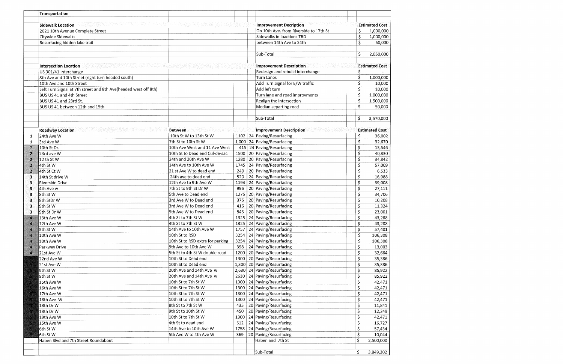|                  | Transportation                                                                                                                                    |                                  |      |                                                     |                        |                       |
|------------------|---------------------------------------------------------------------------------------------------------------------------------------------------|----------------------------------|------|-----------------------------------------------------|------------------------|-----------------------|
|                  |                                                                                                                                                   |                                  |      |                                                     |                        |                       |
|                  | <u>NUMBER MAN DER BEREICHE ER BEI EIN DER STATISTIKE ER MEISTER MEISTER ER STATISTIKE ER STATISTIKE ER STATISTIKE</u><br><b>Sidewalk Location</b> |                                  |      | <b>Improvement Decription</b>                       |                        | <b>Estimated Cost</b> |
|                  | 2021 10th Avenue Complete Street                                                                                                                  |                                  |      | On 10th Ave. from Riverside to 17th St              | \$                     | 1,000,000             |
|                  | Citywide Sidewalks                                                                                                                                |                                  |      | Sidewalks in loactions TBD                          | \$                     | 1,000,000             |
|                  | Resurfacing hidden lake trail                                                                                                                     |                                  |      | between 14th Ave to 24th                            | \$                     | 50,000                |
|                  |                                                                                                                                                   |                                  |      |                                                     |                        |                       |
|                  |                                                                                                                                                   |                                  |      | Sub-Total                                           | \$                     | 2,050,000             |
|                  |                                                                                                                                                   |                                  |      |                                                     |                        |                       |
|                  | <b>Intersection Location</b>                                                                                                                      |                                  |      | <b>Improvement Description</b>                      |                        | <b>Estimated Cost</b> |
|                  | US 301/41 Interchange                                                                                                                             |                                  |      | Redesign and rebuild interchange                    | \$                     |                       |
|                  | 8th Ave and 10th Street (right turn headed south)                                                                                                 |                                  |      | <b>Turn Lanes</b>                                   | $\overline{\varsigma}$ | 1,000,000             |
|                  | 10th Ave and 10th Street                                                                                                                          |                                  |      | Add Turn Signal for E/W traffic                     | \$                     | 10,000                |
|                  | Left Turn Signal at 7th street and 8th Ave(headed west off 8th)                                                                                   |                                  |      | Add left turn                                       | \$                     | 10,000                |
|                  | BUS US 41 and 4th Street                                                                                                                          |                                  |      | Turn lane and road improvments                      | \$                     | 1,000,000             |
|                  | BUS US 41 and 23rd St.                                                                                                                            |                                  |      | Realign the intersection                            | \$                     | 1,500,000             |
|                  | BUS US 41 between 12th and 15th                                                                                                                   |                                  |      | Median separting road                               | \$                     | 50,000                |
|                  |                                                                                                                                                   |                                  |      | Sub-Total                                           | \$                     | 3,570,000             |
|                  |                                                                                                                                                   |                                  |      |                                                     |                        |                       |
|                  | <b>Roadway Location</b><br>era e var høja for delegen de erette                                                                                   | Between                          |      | <b>Improvement Description</b><br>A (STARRY KRANA)  |                        | <b>Estimated Cost</b> |
| 1                | 24th Ave W                                                                                                                                        | 10th St W to 13th St W           |      | 1102 24 Paving/Resurfacing                          | \$                     | 36,002                |
| 1                | 3rd Ave W                                                                                                                                         | 7th St to 10th St W              |      | $1,000$ 24 Paving/Resurfacing                       | \$                     | 32,670                |
| $\overline{2}$   | 10th St Dr.                                                                                                                                       | 10th Ave West and 11 Ave West    |      | 415 24 Paving/Resurfacing                           | \$                     | 13,546                |
| 2                | 23rd ave W                                                                                                                                        | 10th St to Dead end Cul-de-sac   |      | 1500   20   Paving/Resurfacing                      | \$                     | 40,830                |
| 2                | 12 th St W                                                                                                                                        | 24th and 20th Ave W              | 1280 | 20 Paving/Resurfacing                               | \$                     | 34,842                |
| $\boldsymbol{p}$ | 4th St W                                                                                                                                          | 14th Ave to 10th Ave W           | 1745 | 24 Paving/Resurfacing                               | \$                     | 57,009                |
| $\lambda$        | 4th St Ct W                                                                                                                                       | 21 st Ave W to dead end          | 240  | 20 Paving/Resurfacing                               | \$                     | 6,533                 |
|                  | 14th St drive W                                                                                                                                   | 24th ave to dead end             | 520  | 24 Paving/Resurfacing                               |                        |                       |
| 3                |                                                                                                                                                   | 12th Ave to 9th Ave W            | 1194 | 24 Paving/Resurfacing                               | \$                     | 16,988                |
| 3.               | Riverside Drive                                                                                                                                   |                                  |      |                                                     | \$                     | 39,008                |
| 3                | 4th Ave w                                                                                                                                         | 7th St to 9th St Dr W            | 996  | 20 Paving/Resurfacing<br>1275 20 Paving/Resurfacing | \$                     | 27,111                |
| з                | 8th St W                                                                                                                                          | 5th Ave to Dead end              |      |                                                     | \$                     | 34,706                |
| 3                | 8th StDr W                                                                                                                                        | 3rd Ave W to Dead end            | 375  | 20 Paving/Resurfacing                               | \$                     | 10,208                |
| 3                | 9th St W                                                                                                                                          | 3rd Ave W to Dead end            | 416  | 20 Paving/Resurfacing                               | \$                     | 11,324                |
| 3                | l9th St Dr W                                                                                                                                      | 5th Ave W to Dead end            | 845  | 20 Paving/Resurfacing                               | \$                     | 23,001                |
| Ü.               | 13th Ave W                                                                                                                                        | 4th St to 7th St W               |      | 1325   24   Paving/Resurfacing                      | \$,                    | 43,288                |
| 4.               | 12th Ave W                                                                                                                                        | 4th St to 7th St W               |      | 1325 24 Paving/Resurfacing                          | $\varsigma$            | 43,288                |
| Ú.               | 5th St W                                                                                                                                          | 14th Ave to 10th Ave W           |      | 1757 24 Paving/Resurfacing                          | $\zeta$                | 57,401                |
| Л                | 10th Ave W                                                                                                                                        | 10th St to RSD                   |      | 3254 24 Paving/Resurfacing                          | \$                     | 106,308               |
| Ø.               | 10th Ave W                                                                                                                                        | 10th St to RSD extra for parking |      | 3254 24 Paving/Resurfacing                          | \$                     | 106,308               |
| Z.               | Parkway Drive                                                                                                                                     | 9th Ave to 10th Ave W            |      | 398 24 Paving/Resurfacing                           | $\varsigma$            | 13,003                |
| л                | 21st Ave W                                                                                                                                        | 5th St to 4th St W double road   |      | 1200 20 Paving/Resurfacing                          | \$                     | 32,664                |
|                  | 22nd Ave W                                                                                                                                        | 10th St to Dead end              |      | 1300 20 Paving/Resurfacing                          | \$                     | 35,386                |
|                  | 21st Ave W                                                                                                                                        | 10th St to Dead end              |      | 1,300 20 Paving/Resurfacing                         | \$                     | 35,386                |
|                  | 9th St W                                                                                                                                          | 20th Ave and 14th Ave w          |      | 2,630 24 Paving/Resurfacing                         | \$                     | 85,922                |
|                  | 8th St W                                                                                                                                          | 20th Ave and 14th Ave w          |      | 2630 24 Paving/Resurfacing                          | $\overline{\xi}$       | 85,922                |
|                  | 15th Ave W                                                                                                                                        | 10th St to 7th St W              |      | 1300 24 Paving/Resurfacing                          | \$                     | 42,471                |
|                  | 16th Ave W                                                                                                                                        | 10th St to 7th St W              |      | 1300 24 Paving/Resurfacing                          | \$                     | 42,471                |
|                  | 17th Ave W                                                                                                                                        | 10th St to 7th St W              |      | 1300 24 Paving/Resurfacing                          | \$                     | 42,471                |
|                  | 18th Ave W                                                                                                                                        | 10th St to 7th St W              |      | 1300 24 Paving/Resurfacing                          | \$                     | 42,471                |
|                  | 18th Dr W                                                                                                                                         | 8th St to 7th St W               | 435  | 20 Paving/Resurfacing                               | \$                     | 11,841                |
|                  | 18th Dr W                                                                                                                                         | 9th St to 10th St W              | 450  | 20 Paving/Resurfacing                               | \$                     | 12,249                |
|                  | 19th Ave W                                                                                                                                        | 10th St to 7th St W              |      | 1300   24   Paving/Resurfacing                      | \$                     | 42,471                |
|                  | 15th Ave W                                                                                                                                        | 4th St to dead end               | 512  | 24 Paving/Resurfacing                               | \$                     | 16,727                |
|                  | 6th St W                                                                                                                                          | 14th Ave to 10th Ave W           | 1758 | 24 Paving/Resurfacing                               | \$                     | 57,434                |
|                  | 6th St W                                                                                                                                          | 5th Ave W to 4th Ave W           | 369  | 20 Paving/Resurfacing                               | \$                     | 10,044                |
|                  | Haben Blvd and 7th Street Roundabout                                                                                                              |                                  |      | Haben and 7th St                                    | \$                     | 2,500,000             |
|                  |                                                                                                                                                   |                                  |      |                                                     |                        |                       |
|                  |                                                                                                                                                   |                                  |      | Sub-Total                                           | \$                     | 3,849,302             |

 $\mathcal{L}(\mathcal{L}(\mathcal{L}))$  and  $\mathcal{L}(\mathcal{L}(\mathcal{L}))$  . The contribution of  $\mathcal{L}(\mathcal{L})$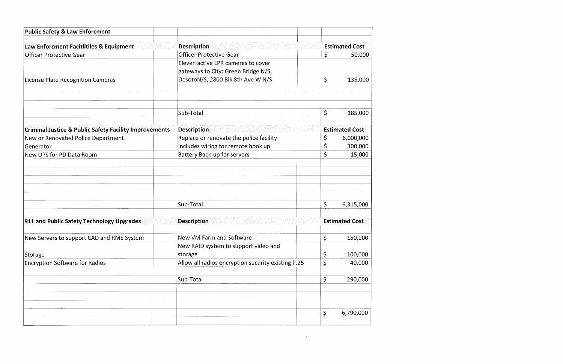| <b>Public Safety &amp; Law Enforcment</b>                         |                                                    |             |                       |
|-------------------------------------------------------------------|----------------------------------------------------|-------------|-----------------------|
| Law Enforcment Facitlitiles & Equipment                           | <b>Description</b>                                 |             | <b>Estimated Cost</b> |
| <b>Officer Protective Gear</b>                                    | <b>Officer Protective Gear</b>                     | \$          | 50,000                |
|                                                                   | Eleven active LPR cameras to cover                 |             |                       |
|                                                                   | gateways to City: Green Bridge N/S,                |             |                       |
| License Plate Recognition Cameras                                 | DesotoN/S, 2800 Blk 8th Ave W N/S                  | \$          | 135,000               |
|                                                                   | Sub-Total                                          | \$          | 185,000               |
| <b>Criminal Justice &amp; Public Safety Facility Improvements</b> | <b>Description</b>                                 |             | <b>Estimated Cost</b> |
| New or Renovated Police Department                                | Replace or renovate the police facility            | Ş           | 6,000,000             |
| <b>Generator</b>                                                  | Includes wiring for remote hook up                 | \$          | 300,000               |
| New UPS for PD Data Room                                          | <b>Battery Back-up for servers</b>                 | \$          | 15,000                |
|                                                                   |                                                    |             |                       |
|                                                                   | Sub-Total                                          | \$          | 6,315,000             |
| 911 and Public Safety Technology Upgrades                         | <b>Description</b>                                 |             | <b>Estimated Cost</b> |
| New Servers to support CAD and RMS System                         | New VM Farm and Software                           | $\varsigma$ | 150,000               |
|                                                                   | New RAID system to support video and               |             |                       |
| Storage                                                           | storage                                            | Ş           | 100,000               |
| <b>Encryption Software for Radios</b>                             | Allow all radios encryption security existing P.25 | \$          | 40,000                |
|                                                                   | Sub-Total                                          | \$          | 290,000               |
|                                                                   |                                                    | \$          | 6,790,000             |
|                                                                   |                                                    |             |                       |

 $\label{eq:2.1} \mathcal{L}(\mathcal{L}^{\text{max}}_{\mathcal{L}}(\mathcal{L}^{\text{max}}_{\mathcal{L}}),\mathcal{L}^{\text{max}}_{\mathcal{L}}(\mathcal{L}^{\text{max}}_{\mathcal{L}}))\leq \mathcal{L}(\mathcal{L}^{\text{max}}_{\mathcal{L}}(\mathcal{L}^{\text{max}}_{\mathcal{L}}))$